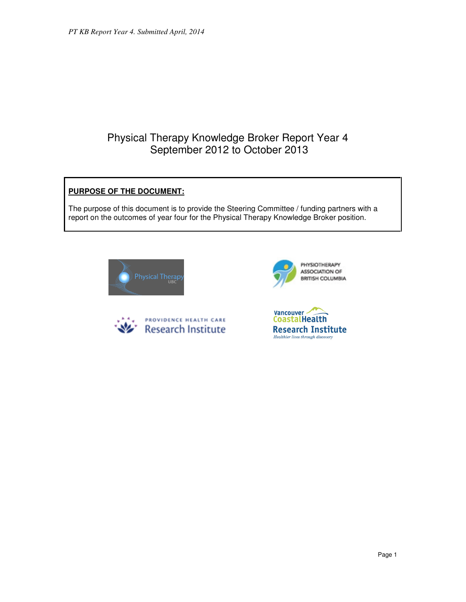# Physical Therapy Knowledge Broker Report Year 4 September 2012 to October 2013

# **PURPOSE OF THE DOCUMENT:**

The purpose of this document is to provide the Steering Committee / funding partners with a report on the outcomes of year four for the Physical Therapy Knowledge Broker position.







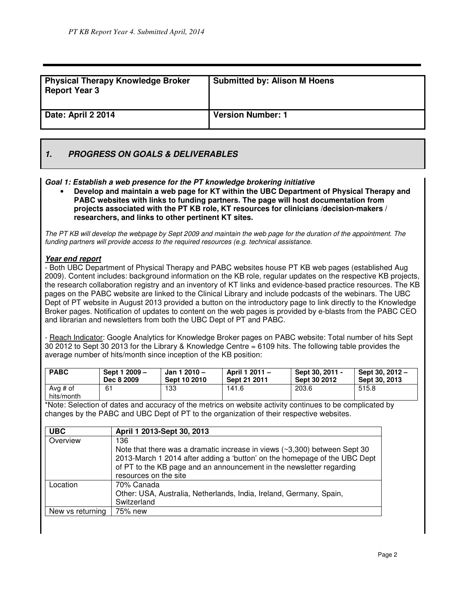| <b>Physical Therapy Knowledge Broker</b><br><b>Report Year 3</b> | <b>Submitted by: Alison M Hoens</b> |
|------------------------------------------------------------------|-------------------------------------|
| Date: April 2 2014                                               | <b>Version Number: 1</b>            |

# **1. PROGRESS ON GOALS & DELIVERABLES**

**Goal 1: Establish a web presence for the PT knowledge brokering initiative**

• **Develop and maintain a web page for KT within the UBC Department of Physical Therapy and PABC websites with links to funding partners. The page will host documentation from projects associated with the PT KB role, KT resources for clinicians /decision-makers / researchers, and links to other pertinent KT sites.**

The PT KB will develop the webpage by Sept 2009 and maintain the web page for the duration of the appointment. The funding partners will provide access to the required resources (e.g. technical assistance.

# **Year end report**

- Both UBC Department of Physical Therapy and PABC websites house PT KB web pages (established Aug 2009). Content includes: background information on the KB role, regular updates on the respective KB projects, the research collaboration registry and an inventory of KT links and evidence-based practice resources. The KB pages on the PABC website are linked to the Clinical Library and include podcasts of the webinars. The UBC Dept of PT website in August 2013 provided a button on the introductory page to link directly to the Knowledge Broker pages. Notification of updates to content on the web pages is provided by e-blasts from the PABC CEO and librarian and newsletters from both the UBC Dept of PT and PABC.

- Reach Indicator: Google Analytics for Knowledge Broker pages on PABC website: Total number of hits Sept 30 2012 to Sept 30 2013 for the Library & Knowledge Centre = 6109 hits. The following table provides the average number of hits/month since inception of the KB position:

| <b>PABC</b> | Sept 1 2009 -<br>Dec 8 2009 | Jan 1 2010 $-$<br>Sept 10 2010 | April 1 2011 -<br>Sept 21 2011 | Sept 30, 2011 -<br>Sept 30 2012 | Sept 30, 2012 -<br>Sept 30, 2013 |
|-------------|-----------------------------|--------------------------------|--------------------------------|---------------------------------|----------------------------------|
| Avg # of    | 61                          | 133                            | 141.6                          | 203.6                           | 515.8                            |
| hits/month  |                             |                                |                                |                                 |                                  |

\*Note: Selection of dates and accuracy of the metrics on website activity continues to be complicated by changes by the PABC and UBC Dept of PT to the organization of their respective websites.

| <b>UBC</b>       | April 1 2013-Sept 30, 2013                                                      |
|------------------|---------------------------------------------------------------------------------|
| Overview         | 136                                                                             |
|                  | Note that there was a dramatic increase in views $(\sim 3,300)$ between Sept 30 |
|                  | 2013-March 1 2014 after adding a 'button' on the homepage of the UBC Dept       |
|                  | of PT to the KB page and an announcement in the newsletter regarding            |
|                  | resources on the site                                                           |
| Location         | 70% Canada                                                                      |
|                  | Other: USA, Australia, Netherlands, India, Ireland, Germany, Spain,             |
|                  | Switzerland                                                                     |
| New vs returning | 75% new                                                                         |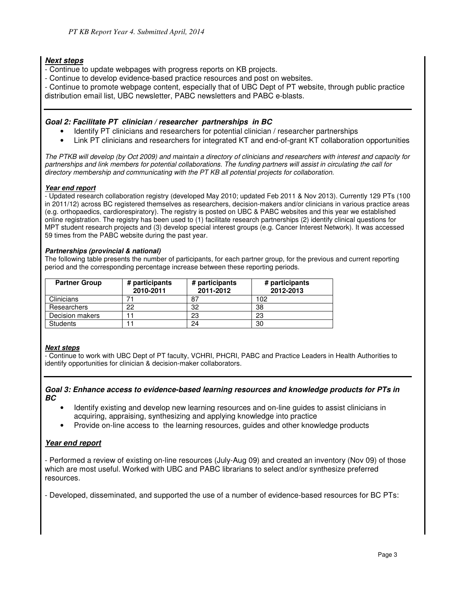# **Next steps**

- Continue to update webpages with progress reports on KB projects.
- Continue to develop evidence-based practice resources and post on websites.

- Continue to promote webpage content, especially that of UBC Dept of PT website, through public practice distribution email list, UBC newsletter, PABC newsletters and PABC e-blasts.

# **Goal 2: Facilitate PT clinician / researcher partnerships in BC**

- Identify PT clinicians and researchers for potential clinician / researcher partnerships
- Link PT clinicians and researchers for integrated KT and end-of-grant KT collaboration opportunities

The PTKB will develop (by Oct 2009) and maintain a directory of clinicians and researchers with interest and capacity for partnerships and link members for potential collaborations. The funding partners will assist in circulating the call for directory membership and communicating with the PT KB all potential projects for collaboration.

#### **Year end report**

- Updated research collaboration registry (developed May 2010; updated Feb 2011 & Nov 2013). Currently 129 PTs (100 in 2011/12) across BC registered themselves as researchers, decision-makers and/or clinicians in various practice areas (e.g. orthopaedics, cardiorespiratory). The registry is posted on UBC & PABC websites and this year we established online registration. The registry has been used to (1) facilitate research partnerships (2) identify clinical questions for MPT student research projects and (3) develop special interest groups (e.g. Cancer Interest Network). It was accessed 59 times from the PABC website during the past year.

#### **Partnerships (provincial & national)**

The following table presents the number of participants, for each partner group, for the previous and current reporting period and the corresponding percentage increase between these reporting periods.

| <b>Partner Group</b> | # participants<br>2010-2011 | # participants<br>2011-2012 | # participants<br>2012-2013 |
|----------------------|-----------------------------|-----------------------------|-----------------------------|
| Clinicians           |                             | 87                          | 102                         |
| Researchers          | 22                          | 32                          | 38                          |
| Decision makers      |                             | 23                          | 23                          |
| <b>Students</b>      |                             | 24                          | 30                          |

## **Next steps**

- Continue to work with UBC Dept of PT faculty, VCHRI, PHCRI, PABC and Practice Leaders in Health Authorities to identify opportunities for clinician & decision-maker collaborators.

#### **Goal 3: Enhance access to evidence-based learning resources and knowledge products for PTs in BC**

- Identify existing and develop new learning resources and on-line guides to assist clinicians in acquiring, appraising, synthesizing and applying knowledge into practice
- Provide on-line access to the learning resources, guides and other knowledge products

## **Year end report**

- Performed a review of existing on-line resources (July-Aug 09) and created an inventory (Nov 09) of those which are most useful. Worked with UBC and PABC librarians to select and/or synthesize preferred resources.

- Developed, disseminated, and supported the use of a number of evidence-based resources for BC PTs: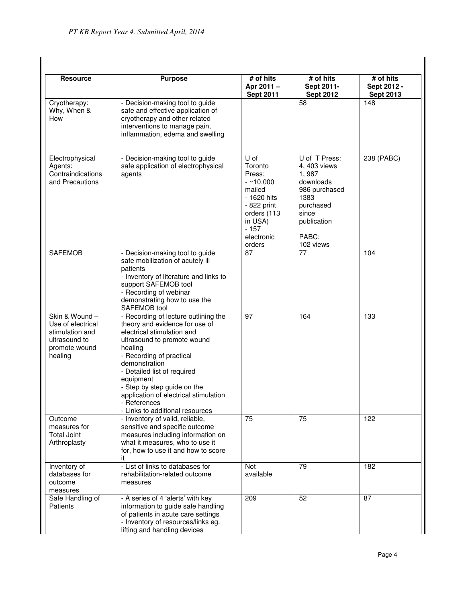| <b>Resource</b>                                                                                    | <b>Purpose</b>                                                                                                                                                                                                                                                                                                                                                     | # of hits<br>Apr 2011-<br><b>Sept 2011</b>                                                                                                  | # of hits<br>Sept 2011-<br><b>Sept 2012</b>                                                                                             | # of hits<br>Sept 2012 -<br><b>Sept 2013</b> |
|----------------------------------------------------------------------------------------------------|--------------------------------------------------------------------------------------------------------------------------------------------------------------------------------------------------------------------------------------------------------------------------------------------------------------------------------------------------------------------|---------------------------------------------------------------------------------------------------------------------------------------------|-----------------------------------------------------------------------------------------------------------------------------------------|----------------------------------------------|
| Cryotherapy:<br>Why, When &<br>How                                                                 | - Decision-making tool to guide<br>safe and effective application of<br>cryotherapy and other related<br>interventions to manage pain,<br>inflammation, edema and swelling                                                                                                                                                                                         |                                                                                                                                             | 58                                                                                                                                      | 148                                          |
| Electrophysical<br>Agents:<br>Contraindications<br>and Precautions                                 | - Decision-making tool to guide<br>safe application of electrophysical<br>agents                                                                                                                                                                                                                                                                                   | U of<br>Toronto<br>Press;<br>$-210,000$<br>mailed<br>- 1620 hits<br>- 822 print<br>orders (113<br>in USA)<br>$-157$<br>electronic<br>orders | U of T Press:<br>4, 403 views<br>1,987<br>downloads<br>986 purchased<br>1383<br>purchased<br>since<br>publication<br>PABC:<br>102 views | $238$ (PABC)                                 |
| <b>SAFEMOB</b>                                                                                     | - Decision-making tool to guide<br>safe mobilization of acutely ill<br>patients<br>- Inventory of literature and links to<br>support SAFEMOB tool<br>- Recording of webinar<br>demonstrating how to use the<br>SAFEMOB tool                                                                                                                                        | 87                                                                                                                                          | 77                                                                                                                                      | 104                                          |
| Skin & Wound-<br>Use of electrical<br>stimulation and<br>ultrasound to<br>promote wound<br>healing | - Recording of lecture outlining the<br>theory and evidence for use of<br>electrical stimulation and<br>ultrasound to promote wound<br>healing<br>- Recording of practical<br>demonstration<br>- Detailed list of required<br>equipment<br>- Step by step guide on the<br>application of electrical stimulation<br>- References<br>- Links to additional resources | 97                                                                                                                                          | 164                                                                                                                                     | 133                                          |
| Outcome<br>measures for<br><b>Total Joint</b><br>Arthroplasty                                      | - Inventory of valid, reliable,<br>sensitive and specific outcome<br>measures including information on<br>what it measures, who to use it<br>for, how to use it and how to score<br>it                                                                                                                                                                             | 75                                                                                                                                          | 75                                                                                                                                      | 122                                          |
| Inventory of<br>databases for<br>outcome<br>measures                                               | - List of links to databases for<br>rehabilitation-related outcome<br>measures                                                                                                                                                                                                                                                                                     | <b>Not</b><br>available                                                                                                                     | 79                                                                                                                                      | 182                                          |
| Safe Handling of<br>Patients                                                                       | - A series of 4 'alerts' with key<br>information to guide safe handling<br>of patients in acute care settings<br>- Inventory of resources/links eg.<br>lifting and handling devices                                                                                                                                                                                | 209                                                                                                                                         | 52                                                                                                                                      | 87                                           |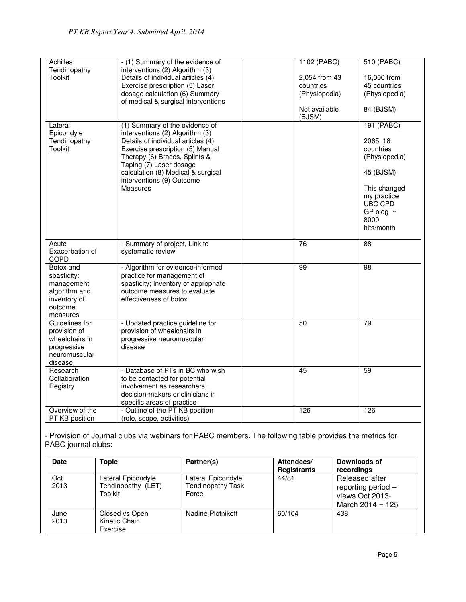| Achilles        | - (1) Summary of the evidence of     |     | 1102 (PABC)   | 510 (PABC)     |
|-----------------|--------------------------------------|-----|---------------|----------------|
|                 |                                      |     |               |                |
| Tendinopathy    | interventions (2) Algorithm (3)      |     |               |                |
| <b>Toolkit</b>  | Details of individual articles (4)   |     | 2,054 from 43 | 16,000 from    |
|                 | Exercise prescription (5) Laser      |     | countries     | 45 countries   |
|                 | dosage calculation (6) Summary       |     | (Physiopedia) | (Physiopedia)  |
|                 | of medical & surgical interventions  |     |               |                |
|                 |                                      |     | Not available | 84 (BJSM)      |
|                 |                                      |     | (BJSM)        |                |
| Lateral         | (1) Summary of the evidence of       |     |               | 191 (PABC)     |
| Epicondyle      | interventions (2) Algorithm (3)      |     |               |                |
| Tendinopathy    | Details of individual articles (4)   |     |               | 2065, 18       |
| Toolkit         | Exercise prescription (5) Manual     |     |               | countries      |
|                 | Therapy (6) Braces, Splints &        |     |               | (Physiopedia)  |
|                 | Taping (7) Laser dosage              |     |               |                |
|                 | calculation (8) Medical & surgical   |     |               | 45 (BJSM)      |
|                 | interventions (9) Outcome            |     |               |                |
|                 | Measures                             |     |               | This changed   |
|                 |                                      |     |               | my practice    |
|                 |                                      |     |               | UBC CPD        |
|                 |                                      |     |               | GP blog $\sim$ |
|                 |                                      |     |               | 8000           |
|                 |                                      |     |               | hits/month     |
|                 |                                      |     |               |                |
| Acute           | - Summary of project, Link to        | 76  |               | 88             |
| Exacerbation of | systematic review                    |     |               |                |
| <b>COPD</b>     |                                      |     |               |                |
| Botox and       | - Algorithm for evidence-informed    | 99  |               | 98             |
| spasticity:     | practice for management of           |     |               |                |
| management      | spasticity; Inventory of appropriate |     |               |                |
| algorithm and   | outcome measures to evaluate         |     |               |                |
| inventory of    | effectiveness of botox               |     |               |                |
| outcome         |                                      |     |               |                |
| measures        |                                      |     |               |                |
| Guidelines for  | - Updated practice guideline for     | 50  |               | 79             |
| provision of    | provision of wheelchairs in          |     |               |                |
| wheelchairs in  | progressive neuromuscular            |     |               |                |
| progressive     | disease                              |     |               |                |
| neuromuscular   |                                      |     |               |                |
| disease         |                                      |     |               |                |
| Research        | - Database of PTs in BC who wish     | 45  |               | 59             |
| Collaboration   | to be contacted for potential        |     |               |                |
| Registry        | involvement as researchers,          |     |               |                |
|                 | decision-makers or clinicians in     |     |               |                |
|                 | specific areas of practice           |     |               |                |
| Overview of the | - Outline of the PT KB position      | 126 |               | 126            |
| PT KB position  | (role, scope, activities)            |     |               |                |

- Provision of Journal clubs via webinars for PABC members. The following table provides the metrics for PABC journal clubs:

| <b>Date</b>  | Topic                                               | Partner(s)                                       | Attendees/<br><b>Registrants</b> | Downloads of<br>recordings                                                    |
|--------------|-----------------------------------------------------|--------------------------------------------------|----------------------------------|-------------------------------------------------------------------------------|
| Oct<br>2013  | Lateral Epicondyle<br>Tendinopathy (LET)<br>Toolkit | Lateral Epicondyle<br>Tendinopathy Task<br>Force | 44/81                            | Released after<br>reporting period -<br>views Oct 2013-<br>March $2014 = 125$ |
| June<br>2013 | Closed vs Open<br>Kinetic Chain<br>Exercise         | Nadine Plotnikoff                                | 60/104                           | 438                                                                           |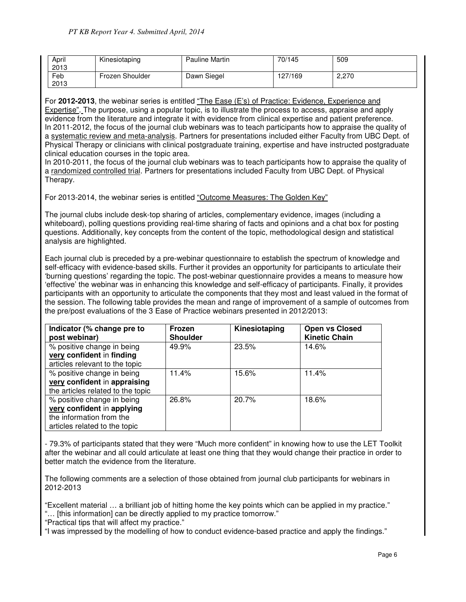| April<br>2013 | Kinesiotaping   | Pauline Martin | 70/145  | 509   |
|---------------|-----------------|----------------|---------|-------|
| Feb<br>2013   | Frozen Shoulder | Dawn Siegel    | 127/169 | 2,270 |

For **2012-2013**, the webinar series is entitled "The Ease (E's) of Practice: Evidence, Experience and Expertise". The purpose, using a popular topic, is to illustrate the process to access, appraise and apply evidence from the literature and integrate it with evidence from clinical expertise and patient preference. In 2011-2012, the focus of the journal club webinars was to teach participants how to appraise the quality of a systematic review and meta-analysis. Partners for presentations included either Faculty from UBC Dept. of Physical Therapy or clinicians with clinical postgraduate training, expertise and have instructed postgraduate clinical education courses in the topic area.

In 2010-2011, the focus of the journal club webinars was to teach participants how to appraise the quality of a randomized controlled trial. Partners for presentations included Faculty from UBC Dept. of Physical Therapy.

For 2013-2014, the webinar series is entitled "Outcome Measures: The Golden Key"

The journal clubs include desk-top sharing of articles, complementary evidence, images (including a whiteboard), polling questions providing real-time sharing of facts and opinions and a chat box for posting questions. Additionally, key concepts from the content of the topic, methodological design and statistical analysis are highlighted.

Each journal club is preceded by a pre-webinar questionnaire to establish the spectrum of knowledge and self-efficacy with evidence-based skills. Further it provides an opportunity for participants to articulate their 'burning questions' regarding the topic. The post-webinar questionnaire provides a means to measure how 'effective' the webinar was in enhancing this knowledge and self-efficacy of participants. Finally, it provides participants with an opportunity to articulate the components that they most and least valued in the format of the session. The following table provides the mean and range of improvement of a sample of outcomes from the pre/post evaluations of the 3 Ease of Practice webinars presented in 2012/2013:

| Indicator (% change pre to<br>post webinar)                                                                           | Frozen<br><b>Shoulder</b> | Kinesiotaping | <b>Open vs Closed</b><br><b>Kinetic Chain</b> |
|-----------------------------------------------------------------------------------------------------------------------|---------------------------|---------------|-----------------------------------------------|
| % positive change in being<br>very confident in finding<br>articles relevant to the topic                             | 49.9%                     | 23.5%         | 14.6%                                         |
| % positive change in being<br>very confident in appraising<br>the articles related to the topic                       | 11.4%                     | 15.6%         | 11.4%                                         |
| % positive change in being<br>very confident in applying<br>the information from the<br>articles related to the topic | 26.8%                     | 20.7%         | 18.6%                                         |

- 79.3% of participants stated that they were "Much more confident" in knowing how to use the LET Toolkit after the webinar and all could articulate at least one thing that they would change their practice in order to better match the evidence from the literature.

The following comments are a selection of those obtained from journal club participants for webinars in 2012-2013

"Excellent material … a brilliant job of hitting home the key points which can be applied in my practice." "… [this information] can be directly applied to my practice tomorrow."

"Practical tips that will affect my practice."

"I was impressed by the modelling of how to conduct evidence-based practice and apply the findings."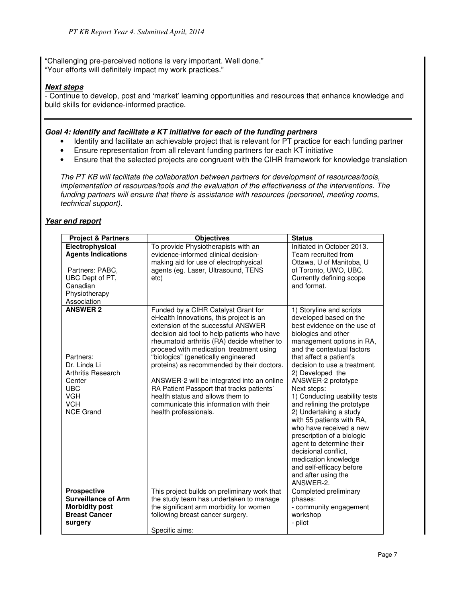"Challenging pre-perceived notions is very important. Well done." "Your efforts will definitely impact my work practices."

# **Next steps**

- Continue to develop, post and 'market' learning opportunities and resources that enhance knowledge and build skills for evidence-informed practice.

# **Goal 4: Identify and facilitate a KT initiative for each of the funding partners**

- Identify and facilitate an achievable project that is relevant for PT practice for each funding partner
- Ensure representation from all relevant funding partners for each KT initiative
- Ensure that the selected projects are congruent with the CIHR framework for knowledge translation

The PT KB will facilitate the collaboration between partners for development of resources/tools, implementation of resources/tools and the evaluation of the effectiveness of the interventions. The funding partners will ensure that there is assistance with resources (personnel, meeting rooms, technical support).

# **Year end report**

| <b>Project &amp; Partners</b>                                                                                                              | <b>Objectives</b>                                                                                                                                                                                                                                                                                                                                                                                                                                                                                                                                     | <b>Status</b>                                                                                                                                                                                                                                                                                                                                                                                                                                                                                                                                                                                                      |
|--------------------------------------------------------------------------------------------------------------------------------------------|-------------------------------------------------------------------------------------------------------------------------------------------------------------------------------------------------------------------------------------------------------------------------------------------------------------------------------------------------------------------------------------------------------------------------------------------------------------------------------------------------------------------------------------------------------|--------------------------------------------------------------------------------------------------------------------------------------------------------------------------------------------------------------------------------------------------------------------------------------------------------------------------------------------------------------------------------------------------------------------------------------------------------------------------------------------------------------------------------------------------------------------------------------------------------------------|
| Electrophysical<br><b>Agents Indications</b><br>Partners: PABC,<br>UBC Dept of PT,<br>Canadian<br>Physiotherapy<br>Association             | To provide Physiotherapists with an<br>evidence-informed clinical decision-<br>making aid for use of electrophysical<br>agents (eg. Laser, Ultrasound, TENS<br>etc)                                                                                                                                                                                                                                                                                                                                                                                   | Initiated in October 2013.<br>Team recruited from<br>Ottawa, U of Manitoba, U<br>of Toronto, UWO, UBC.<br>Currently defining scope<br>and format.                                                                                                                                                                                                                                                                                                                                                                                                                                                                  |
| <b>ANSWER 2</b><br>Partners:<br>Dr. Linda Li<br>Arthritis Research<br>Center<br><b>UBC</b><br><b>VGH</b><br><b>VCH</b><br><b>NCE Grand</b> | Funded by a CIHR Catalyst Grant for<br>eHealth Innovations, this project is an<br>extension of the successful ANSWER<br>decision aid tool to help patients who have<br>rheumatoid arthritis (RA) decide whether to<br>proceed with medication treatment using<br>"biologics" (genetically engineered<br>proteins) as recommended by their doctors.<br>ANSWER-2 will be integrated into an online<br>RA Patient Passport that tracks patients'<br>health status and allows them to<br>communicate this information with their<br>health professionals. | 1) Storyline and scripts<br>developed based on the<br>best evidence on the use of<br>biologics and other<br>management options in RA,<br>and the contextual factors<br>that affect a patient's<br>decision to use a treatment.<br>2) Developed the<br>ANSWER-2 prototype<br>Next steps:<br>1) Conducting usability tests<br>and refining the prototype<br>2) Undertaking a study<br>with 55 patients with RA,<br>who have received a new<br>prescription of a biologic<br>agent to determine their<br>decisional conflict.<br>medication knowledge<br>and self-efficacy before<br>and after using the<br>ANSWER-2. |
| <b>Prospective</b><br><b>Surveillance of Arm</b><br><b>Morbidity post</b><br><b>Breast Cancer</b><br>surgery                               | This project builds on preliminary work that<br>the study team has undertaken to manage<br>the significant arm morbidity for women<br>following breast cancer surgery.<br>Specific aims:                                                                                                                                                                                                                                                                                                                                                              | Completed preliminary<br>phases:<br>- community engagement<br>workshop<br>- pilot                                                                                                                                                                                                                                                                                                                                                                                                                                                                                                                                  |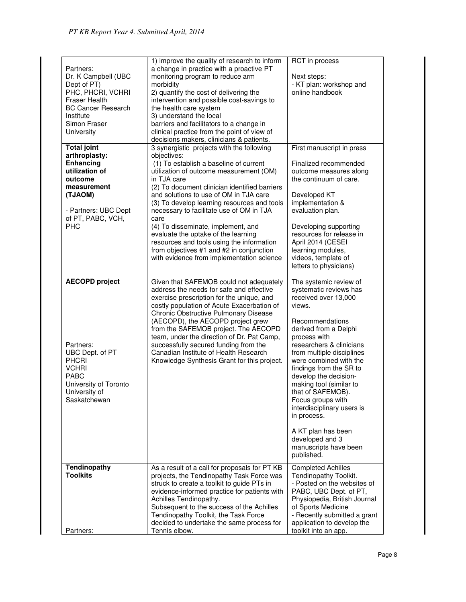| Partners:<br>Dr. K Campbell (UBC<br>Dept of PT)<br>PHC, PHCRI, VCHRI<br>Fraser Health<br><b>BC Cancer Research</b><br>Institute<br>Simon Fraser<br>University      | 1) improve the quality of research to inform<br>a change in practice with a proactive PT<br>monitoring program to reduce arm<br>morbidity<br>2) quantify the cost of delivering the<br>intervention and possible cost-savings to<br>the health care system<br>3) understand the local<br>barriers and facilitators to a change in<br>clinical practice from the point of view of<br>decisions makers, clinicians & patients.                                                                                                                                                  | RCT in process<br>Next steps:<br>- KT plan: workshop and<br>online handbook                                                                                                                                                                                                                                                                                                                                                                                                             |
|--------------------------------------------------------------------------------------------------------------------------------------------------------------------|-------------------------------------------------------------------------------------------------------------------------------------------------------------------------------------------------------------------------------------------------------------------------------------------------------------------------------------------------------------------------------------------------------------------------------------------------------------------------------------------------------------------------------------------------------------------------------|-----------------------------------------------------------------------------------------------------------------------------------------------------------------------------------------------------------------------------------------------------------------------------------------------------------------------------------------------------------------------------------------------------------------------------------------------------------------------------------------|
| <b>Total joint</b><br>arthroplasty:<br>Enhancing<br>utilization of<br>outcome<br>measurement<br>(TJAOM)<br>- Partners: UBC Dept<br>of PT, PABC, VCH,<br><b>PHC</b> | 3 synergistic projects with the following<br>objectives:<br>(1) To establish a baseline of current<br>utilization of outcome measurement (OM)<br>in TJA care<br>(2) To document clinician identified barriers<br>and solutions to use of OM in TJA care<br>(3) To develop learning resources and tools<br>necessary to facilitate use of OM in TJA<br>care<br>(4) To disseminate, implement, and<br>evaluate the uptake of the learning<br>resources and tools using the information<br>from objectives #1 and #2 in conjunction<br>with evidence from implementation science | First manuscript in press<br>Finalized recommended<br>outcome measures along<br>the continuum of care.<br>Developed KT<br>implementation &<br>evaluation plan.<br>Developing supporting<br>resources for release in<br>April 2014 (CESEI<br>learning modules,<br>videos, template of<br>letters to physicians)                                                                                                                                                                          |
| <b>AECOPD</b> project<br>Partners:<br>UBC Dept. of PT<br><b>PHCRI</b><br><b>VCHRI</b><br><b>PABC</b><br>University of Toronto<br>University of<br>Saskatchewan     | Given that SAFEMOB could not adequately<br>address the needs for safe and effective<br>exercise prescription for the unique, and<br>costly population of Acute Exacerbation of<br>Chronic Obstructive Pulmonary Disease<br>(AECOPD), the AECOPD project grew<br>from the SAFEMOB project. The AECOPD<br>team, under the direction of Dr. Pat Camp,<br>successfully secured funding from the<br>Canadian Institute of Health Research<br>Knowledge Synthesis Grant for this project.                                                                                           | The systemic review of<br>systematic reviews has<br>received over 13,000<br>views.<br>Recommendations<br>derived from a Delphi<br>process with<br>researchers & clinicians<br>from multiple disciplines<br>were combined with the<br>findings from the SR to<br>develop the decision-<br>making tool (similar to<br>that of SAFEMOB).<br>Focus groups with<br>interdisciplinary users is<br>in process.<br>A KT plan has been<br>developed and 3<br>manuscripts have been<br>published. |
| <b>Tendinopathy</b><br><b>Toolkits</b>                                                                                                                             | As a result of a call for proposals for PT KB<br>projects, the Tendinopathy Task Force was<br>struck to create a toolkit to guide PTs in<br>evidence-informed practice for patients with<br>Achilles Tendinopathy.<br>Subsequent to the success of the Achilles<br>Tendinopathy Toolkit, the Task Force<br>decided to undertake the same process for                                                                                                                                                                                                                          | <b>Completed Achilles</b><br>Tendinopathy Toolkit.<br>- Posted on the websites of<br>PABC, UBC Dept. of PT,<br>Physiopedia, British Journal<br>of Sports Medicine<br>- Recently submitted a grant<br>application to develop the                                                                                                                                                                                                                                                         |
| Partners:                                                                                                                                                          | Tennis elbow.                                                                                                                                                                                                                                                                                                                                                                                                                                                                                                                                                                 | toolkit into an app.                                                                                                                                                                                                                                                                                                                                                                                                                                                                    |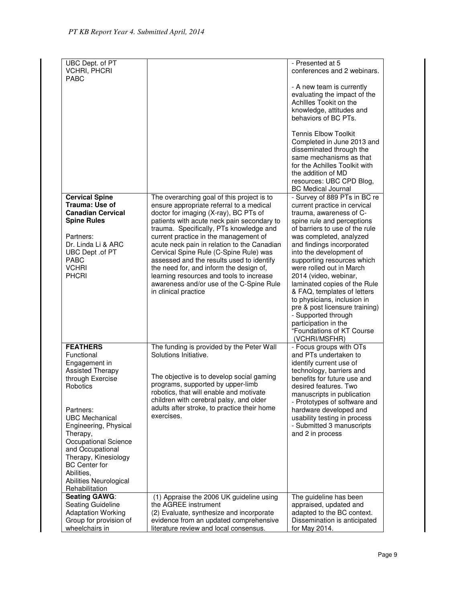| UBC Dept. of PT<br><b>VCHRI, PHCRI</b>                                                                                                                                                                                                                                                                                                     |                                                                                                                                                                                                                                                                                                                                                                                                                                                                                                                                                                    | - Presented at 5<br>conferences and 2 webinars.                                                                                                                                                                                                                                                                                                                                                                                                                                                                                                            |
|--------------------------------------------------------------------------------------------------------------------------------------------------------------------------------------------------------------------------------------------------------------------------------------------------------------------------------------------|--------------------------------------------------------------------------------------------------------------------------------------------------------------------------------------------------------------------------------------------------------------------------------------------------------------------------------------------------------------------------------------------------------------------------------------------------------------------------------------------------------------------------------------------------------------------|------------------------------------------------------------------------------------------------------------------------------------------------------------------------------------------------------------------------------------------------------------------------------------------------------------------------------------------------------------------------------------------------------------------------------------------------------------------------------------------------------------------------------------------------------------|
| <b>PARC</b>                                                                                                                                                                                                                                                                                                                                |                                                                                                                                                                                                                                                                                                                                                                                                                                                                                                                                                                    | - A new team is currently<br>evaluating the impact of the<br>Achilles Tookit on the<br>knowledge, attitudes and<br>behaviors of BC PTs.                                                                                                                                                                                                                                                                                                                                                                                                                    |
|                                                                                                                                                                                                                                                                                                                                            |                                                                                                                                                                                                                                                                                                                                                                                                                                                                                                                                                                    | <b>Tennis Elbow Toolkit</b><br>Completed in June 2013 and<br>disseminated through the<br>same mechanisms as that<br>for the Achilles Toolkit with<br>the addition of MD<br>resources: UBC CPD Blog,<br><b>BC Medical Journal</b>                                                                                                                                                                                                                                                                                                                           |
| <b>Cervical Spine</b><br><b>Trauma: Use of</b><br><b>Canadian Cervical</b><br><b>Spine Rules</b><br>Partners:<br>Dr. Linda Li & ARC<br>UBC Dept .of PT<br>PABC<br><b>VCHRI</b><br><b>PHCRI</b>                                                                                                                                             | The overarching goal of this project is to<br>ensure appropriate referral to a medical<br>doctor for imaging (X-ray), BC PTs of<br>patients with acute neck pain secondary to<br>trauma. Specifically, PTs knowledge and<br>current practice in the management of<br>acute neck pain in relation to the Canadian<br>Cervical Spine Rule (C-Spine Rule) was<br>assessed and the results used to identify<br>the need for, and inform the design of,<br>learning resources and tools to increase<br>awareness and/or use of the C-Spine Rule<br>in clinical practice | - Survey of 889 PTs in BC re<br>current practice in cervical<br>trauma, awareness of C-<br>spine rule and perceptions<br>of barriers to use of the rule<br>was completed, analyzed<br>and findings incorporated<br>into the development of<br>supporting resources which<br>were rolled out in March<br>2014 (video, webinar,<br>laminated copies of the Rule<br>& FAQ, templates of letters<br>to physicians, inclusion in<br>pre & post licensure training)<br>- Supported through<br>participation in the<br>"Foundations of KT Course<br>(VCHRI/MSFHR) |
| <b>FEATHERS</b><br>Functional<br>Engagement in<br><b>Assisted Therapy</b><br>through Exercise<br>Robotics<br>Partners:<br><b>UBC Mechanical</b><br>Engineering, Physical<br>Therapy,<br>Occupational Science<br>and Occupational<br>Therapy, Kinesiology<br><b>BC</b> Center for<br>Abilities.<br>Abilities Neurological<br>Rehabilitation | The funding is provided by the Peter Wall<br>Solutions Initiative.<br>The objective is to develop social gaming<br>programs, supported by upper-limb<br>robotics, that will enable and motivate<br>children with cerebral palsy, and older<br>adults after stroke, to practice their home<br>exercises.                                                                                                                                                                                                                                                            | - Focus groups with OTs<br>and PTs undertaken to<br>identify current use of<br>technology, barriers and<br>benefits for future use and<br>desired features. Two<br>manuscripts in publication<br>- Prototypes of software and<br>hardware developed and<br>usability testing in process<br>- Submitted 3 manuscripts<br>and 2 in process                                                                                                                                                                                                                   |
| <b>Seating GAWG:</b><br>Seating Guideline<br><b>Adaptation Working</b><br>Group for provision of<br>wheelchairs in                                                                                                                                                                                                                         | (1) Appraise the 2006 UK guideline using<br>the AGREE instrument<br>(2) Evaluate, synthesize and incorporate<br>evidence from an updated comprehensive<br>literature review and local consensus.                                                                                                                                                                                                                                                                                                                                                                   | The guideline has been<br>appraised, updated and<br>adapted to the BC context.<br>Dissemination is anticipated<br>for May 2014.                                                                                                                                                                                                                                                                                                                                                                                                                            |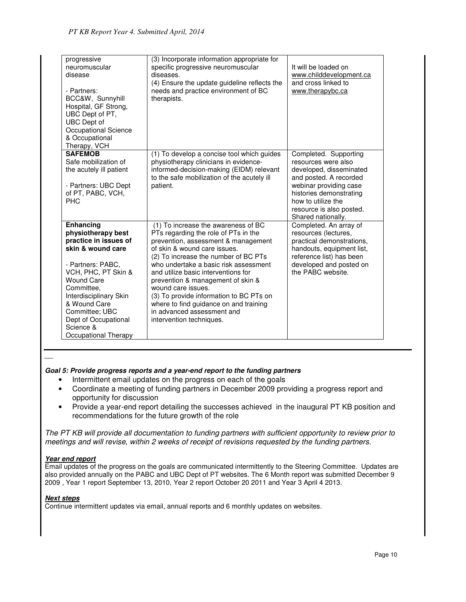| progressive<br>neuromuscular<br>disease<br>- Partners:<br>BCC&W, Sunnyhill<br>Hospital, GF Strong,<br>UBC Dept of PT,<br>UBC Dept of<br>Occupational Science<br>& Occupational<br>Therapy, VCH                                                                                               | (3) Incorporate information appropriate for<br>specific progressive neuromuscular<br>diseases.<br>(4) Ensure the update guideline reflects the<br>needs and practice environment of BC<br>therapists.                                                                                                                                                                                                                                                                                | It will be loaded on<br>www.childdevelopment.ca<br>and cross linked to<br>www.therapybc.ca                                                                                                                                     |
|----------------------------------------------------------------------------------------------------------------------------------------------------------------------------------------------------------------------------------------------------------------------------------------------|--------------------------------------------------------------------------------------------------------------------------------------------------------------------------------------------------------------------------------------------------------------------------------------------------------------------------------------------------------------------------------------------------------------------------------------------------------------------------------------|--------------------------------------------------------------------------------------------------------------------------------------------------------------------------------------------------------------------------------|
| <b>SAFEMOB</b><br>Safe mobilization of<br>the acutely ill patient<br>- Partners: UBC Dept<br>of PT, PABC, VCH,<br>PH <sub>C</sub>                                                                                                                                                            | (1) To develop a concise tool which guides<br>physiotherapy clinicians in evidence-<br>informed-decision-making (EIDM) relevant<br>to the safe mobilization of the acutely ill<br>patient.                                                                                                                                                                                                                                                                                           | Completed. Supporting<br>resources were also<br>developed, disseminated<br>and posted. A recorded<br>webinar providing case<br>histories demonstrating<br>how to utilize the<br>resource is also posted.<br>Shared nationally. |
| <b>Enhancing</b><br>physiotherapy best<br>practice in issues of<br>skin & wound care<br>- Partners: PABC,<br>VCH, PHC, PT Skin &<br><b>Wound Care</b><br>Committee.<br>Interdisciplinary Skin<br>& Wound Care<br>Committee; UBC<br>Dept of Occupational<br>Science &<br>Occupational Therapy | (1) To increase the awareness of BC<br>PTs regarding the role of PTs in the<br>prevention, assessment & management<br>of skin & wound care issues.<br>(2) To increase the number of BC PTs<br>who undertake a basic risk assessment<br>and utilize basic interventions for<br>prevention & management of skin &<br>wound care issues.<br>(3) To provide information to BC PTs on<br>where to find guidance on and training<br>in advanced assessment and<br>intervention techniques. | Completed. An array of<br>resources (lectures,<br>practical demonstrations,<br>handouts, equipment list,<br>reference list) has been<br>developed and posted on<br>the PABC website.                                           |

 $\overline{\phantom{a}}$ 

## **Goal 5: Provide progress reports and a year-end report to the funding partners**

- Intermittent email updates on the progress on each of the goals
- Coordinate a meeting of funding partners in December 2009 providing a progress report and opportunity for discussion
- Provide a year-end report detailing the successes achieved in the inaugural PT KB position and recommendations for the future growth of the role

The PT KB will provide all documentation to funding partners with sufficient opportunity to review prior to meetings and will revise, within 2 weeks of receipt of revisions requested by the funding partners.

## **Year end report**

Email updates of the progress on the goals are communicated intermittently to the Steering Committee. Updates are also provided annually on the PABC and UBC Dept of PT websites. The 6 Month report was submitted December 9 2009 , Year 1 report September 13, 2010, Year 2 report October 20 2011 and Year 3 April 4 2013.

#### **Next steps**

Continue intermittent updates via email, annual reports and 6 monthly updates on websites.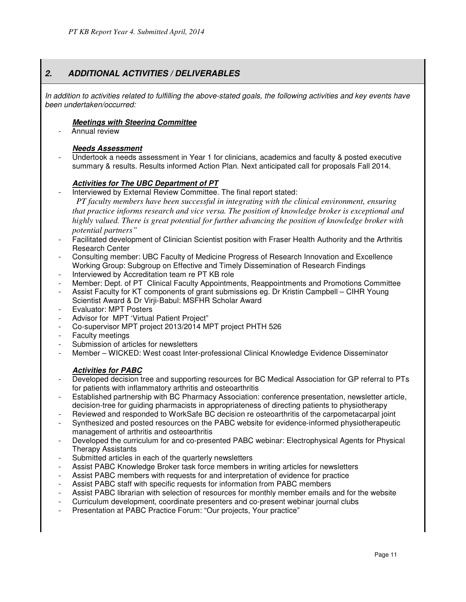# **2. ADDITIONAL ACTIVITIES / DELIVERABLES**

In addition to activities related to fulfilling the above-stated goals, the following activities and key events have been undertaken/occurred:

## **Meetings with Steering Committee**

Annual review

## **Needs Assessment**

- Undertook a needs assessment in Year 1 for clinicians, academics and faculty & posted executive summary & results. Results informed Action Plan. Next anticipated call for proposals Fall 2014.

# **Activities for The UBC Department of PT**

Interviewed by External Review Committee. The final report stated:

 *PT faculty members have been successful in integrating with the clinical environment, ensuring that practice informs research and vice versa. The position of knowledge broker is exceptional and highly valued. There is great potential for further advancing the position of knowledge broker with potential partners"* 

- Facilitated development of Clinician Scientist position with Fraser Health Authority and the Arthritis Research Center
- Consulting member: UBC Faculty of Medicine Progress of Research Innovation and Excellence Working Group: Subgroup on Effective and Timely Dissemination of Research Findings
- Interviewed by Accreditation team re PT KB role
- Member: Dept. of PT Clinical Faculty Appointments, Reappointments and Promotions Committee
- Assist Faculty for KT components of grant submissions eg. Dr Kristin Campbell CIHR Young Scientist Award & Dr Virji-Babul: MSFHR Scholar Award
- Evaluator: MPT Posters
- Advisor for MPT 'Virtual Patient Project"
- Co-supervisor MPT project 2013/2014 MPT project PHTH 526
- Faculty meetings
- Submission of articles for newsletters
- Member WICKED: West coast Inter-professional Clinical Knowledge Evidence Disseminator

# **Activities for PABC**

- Developed decision tree and supporting resources for BC Medical Association for GP referral to PTs for patients with inflammatory arthritis and osteoarthritis
- Established partnership with BC Pharmacy Association: conference presentation, newsletter article, decision-tree for guiding pharmacists in appropriateness of directing patients to physiotherapy
- Reviewed and responded to WorkSafe BC decision re osteoarthritis of the carpometacarpal joint
- Synthesized and posted resources on the PABC website for evidence-informed physiotherapeutic management of arthritis and osteoarthritis
- Developed the curriculum for and co-presented PABC webinar: Electrophysical Agents for Physical Therapy Assistants
- Submitted articles in each of the quarterly newsletters
- Assist PABC Knowledge Broker task force members in writing articles for newsletters
- Assist PABC members with requests for and interpretation of evidence for practice
- Assist PABC staff with specific requests for information from PABC members
- Assist PABC librarian with selection of resources for monthly member emails and for the website
- Curriculum development, coordinate presenters and co-present webinar journal clubs
- Presentation at PABC Practice Forum: "Our projects, Your practice"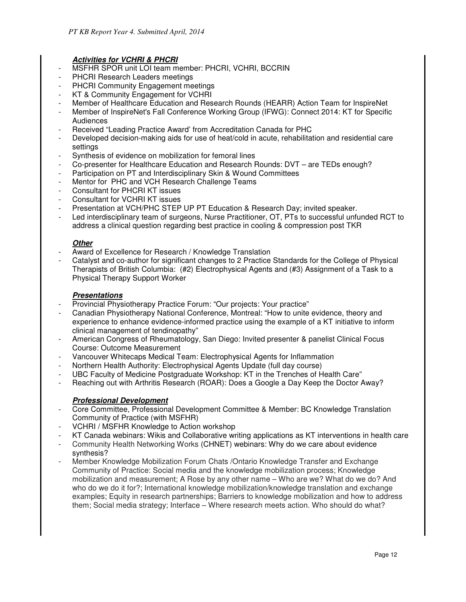# **Activities for VCHRI & PHCRI**

- MSFHR SPOR unit LOI team member: PHCRI, VCHRI, BCCRIN
- PHCRI Research Leaders meetings
- PHCRI Community Engagement meetings
- KT & Community Engagement for VCHRI
- Member of Healthcare Education and Research Rounds (HEARR) Action Team for InspireNet
- Member of InspireNet's Fall Conference Working Group (IFWG): Connect 2014: KT for Specific Audiences
- Received "Leading Practice Award' from Accreditation Canada for PHC
- Developed decision-making aids for use of heat/cold in acute, rehabilitation and residential care settings
- Synthesis of evidence on mobilization for femoral lines
- Co-presenter for Healthcare Education and Research Rounds: DVT are TEDs enough?
- Participation on PT and Interdisciplinary Skin & Wound Committees
- Mentor for PHC and VCH Research Challenge Teams
- Consultant for PHCRI KT issues
- Consultant for VCHRI KT issues
- Presentation at VCH/PHC STEP UP PT Education & Research Day; invited speaker.
- Led interdisciplinary team of surgeons, Nurse Practitioner, OT, PTs to successful unfunded RCT to address a clinical question regarding best practice in cooling & compression post TKR

# **Other**

- Award of Excellence for Research / Knowledge Translation
- Catalyst and co-author for significant changes to 2 Practice Standards for the College of Physical Therapists of British Columbia: (#2) Electrophysical Agents and (#3) Assignment of a Task to a Physical Therapy Support Worker

# **Presentations**

- Provincial Physiotherapy Practice Forum: "Our projects: Your practice"
- Canadian Physiotherapy National Conference, Montreal: "How to unite evidence, theory and experience to enhance evidence-informed practice using the example of a KT initiative to inform clinical management of tendinopathy"
- American Congress of Rheumatology, San Diego: Invited presenter & panelist Clinical Focus Course: Outcome Measurement
- Vancouver Whitecaps Medical Team: Electrophysical Agents for Inflammation
- Northern Health Authority: Electrophysical Agents Update (full day course)
- UBC Faculty of Medicine Postgraduate Workshop: KT in the Trenches of Health Care"
- Reaching out with Arthritis Research (ROAR): Does a Google a Day Keep the Doctor Away?

# **Professional Development**

- Core Committee, Professional Development Committee & Member: BC Knowledge Translation Community of Practice (with MSFHR)
- VCHRI / MSFHR Knowledge to Action workshop
- KT Canada webinars: Wikis and Collaborative writing applications as KT interventions in health care
- Community Health Networking Works (CHNET) webinars: Why do we care about evidence synthesis?
- Member Knowledge Mobilization Forum Chats /Ontario Knowledge Transfer and Exchange Community of Practice: Social media and the knowledge mobilization process; Knowledge mobilization and measurement; A Rose by any other name – Who are we? What do we do? And who do we do it for?; International knowledge mobilization/knowledge translation and exchange examples; Equity in research partnerships; Barriers to knowledge mobilization and how to address them; Social media strategy; Interface – Where research meets action. Who should do what?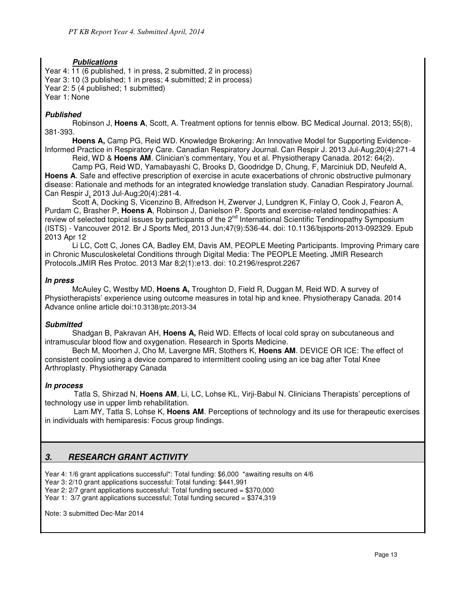# **Publications**

Year 4: 11 (6 published, 1 in press, 2 submitted, 2 in process) Year 3: 10 (3 published; 1 in press; 4 submitted; 2 in process) Year 2: 5 (4 published; 1 submitted) Year 1: None

# **Published**

Robinson J, **Hoens A**, Scott, A. Treatment options for tennis elbow. BC Medical Journal. 2013; 55(8), 381-393.

**Hoens A,** Camp PG, Reid WD. Knowledge Brokering: An Innovative Model for Supporting Evidence-Informed Practice in Respiratory Care. Canadian Respiratory Journal. Can Respir J. 2013 Jul-Aug;20(4):271-4 Reid, WD & **Hoens AM**. Clinician's commentary, You et al. Physiotherapy Canada. 2012: 64(2).

Camp PG, Reid WD, Yamabayashi C, Brooks D, Goodridge D, Chung, F, Marciniuk DD, Neufeld A, **Hoens A**. Safe and effective prescription of exercise in acute exacerbations of chronic obstructive pulmonary disease: Rationale and methods for an integrated knowledge translation study. Canadian Respiratory Journal. Can Respir J. 2013 Jul-Aug;20(4):281-4.

Scott A, Docking S, Vicenzino B, Alfredson H, Zwerver J, Lundgren K, Finlay O, Cook J, Fearon A, Purdam C, Brasher P, **Hoens A**, Robinson J, Danielson P. Sports and exercise-related tendinopathies: A review of selected topical issues by participants of the 2<sup>nd</sup> International Scientific Tendinopathy Symposium (ISTS) - Vancouver 2012. Br J Sports Med. 2013 Jun;47(9):536-44. doi: 10.1136/bjsports-2013-092329. Epub 2013 Apr 12

Li LC, Cott C, Jones CA, Badley EM, Davis AM, PEOPLE Meeting Participants. Improving Primary care in Chronic Musculoskeletal Conditions through Digital Media: The PEOPLE Meeting. JMIR Research Protocols.JMIR Res Protoc. 2013 Mar 8;2(1):e13. doi: 10.2196/resprot.2267

## **In press**

McAuley C, Westby MD, **Hoens A,** Troughton D, Field R, Duggan M, Reid WD. A survey of Physiotherapists' experience using outcome measures in total hip and knee. Physiotherapy Canada. 2014 Advance online article doi:10.3138/ptc.2013-34

## **Submitted**

Shadgan B, Pakravan AH, **Hoens A,** Reid WD. Effects of local cold spray on subcutaneous and intramuscular blood flow and oxygenation. Research in Sports Medicine.

Bech M, Moorhen J, Cho M, Lavergne MR, Stothers K, **Hoens AM**. DEVICE OR ICE: The effect of consistent cooling using a device compared to intermittent cooling using an ice bag after Total Knee Arthroplasty. Physiotherapy Canada

## **In process**

Tatla S, Shirzad N, **Hoens AM**, Li, LC, Lohse KL, Virji-Babul N. Clinicians Therapists' perceptions of technology use in upper limb rehabilitation.

Lam MY, Tatla S, Lohse K, **Hoens AM**. Perceptions of technology and its use for therapeutic exercises in individuals with hemiparesis: Focus group findings.

# **3. RESEARCH GRANT ACTIVITY**

Year 4: 1/6 grant applications successful\*: Total funding: \$6,000 \*awaiting results on 4/6

Year 3: 2/10 grant applications successful: Total funding: \$441,991

Year 2: 2/7 grant applications successful: Total funding secured = \$370,000

Year 1: 3/7 grant applications successful; Total funding secured = \$374,319

Note: 3 submitted Dec-Mar 2014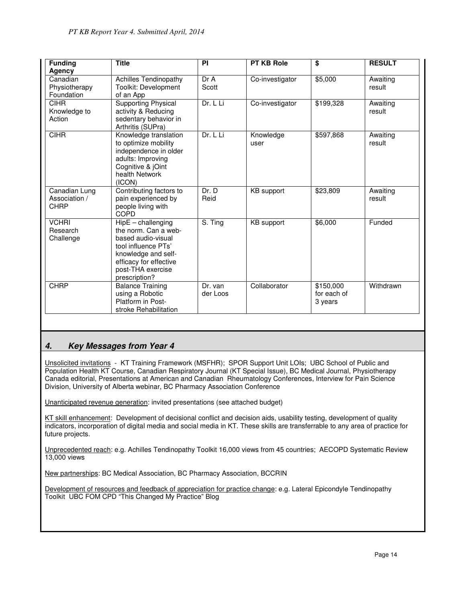| <b>Funding</b> | <b>Title</b>                               | PI       | <b>PT KB Role</b> | \$          | <b>RESULT</b> |
|----------------|--------------------------------------------|----------|-------------------|-------------|---------------|
| Agency         |                                            |          |                   |             |               |
| Canadian       | <b>Achilles Tendinopathy</b>               | Dr A     | Co-investigator   | \$5,000     | Awaiting      |
| Physiotherapy  | Toolkit: Development                       | Scott    |                   |             | result        |
| Foundation     | of an App                                  |          |                   |             |               |
| <b>CIHR</b>    | Supporting Physical                        | Dr. L Li | Co-investigator   | \$199,328   | Awaiting      |
| Knowledge to   | activity & Reducing                        |          |                   |             | result        |
| Action         | sedentary behavior in                      |          |                   |             |               |
| <b>CIHR</b>    | Arthritis (SUPra)<br>Knowledge translation | Dr. L Li | Knowledge         | \$597,868   | Awaiting      |
|                | to optimize mobility                       |          | user              |             | result        |
|                | independence in older                      |          |                   |             |               |
|                | adults: Improving                          |          |                   |             |               |
|                | Cognitive & jOint                          |          |                   |             |               |
|                | health Network                             |          |                   |             |               |
|                | (ICON)                                     |          |                   |             |               |
| Canadian Lung  | Contributing factors to                    | Dr. D    | KB support        | \$23,809    | Awaiting      |
| Association /  | pain experienced by                        | Reid     |                   |             | result        |
| CHRP           | people living with                         |          |                   |             |               |
|                | COPD                                       |          |                   |             |               |
| <b>VCHRI</b>   | $\overline{HipE}$ – challenging            | S. Ting  | KB support        | \$6,000     | Funded        |
| Research       | the norm. Can a web-                       |          |                   |             |               |
| Challenge      | based audio-visual<br>tool influence PTs'  |          |                   |             |               |
|                | knowledge and self-                        |          |                   |             |               |
|                | efficacy for effective                     |          |                   |             |               |
|                | post-THA exercise                          |          |                   |             |               |
|                | prescription?                              |          |                   |             |               |
| <b>CHRP</b>    | <b>Balance Training</b>                    | Dr. van  | Collaborator      | \$150,000   | Withdrawn     |
|                | using a Robotic                            | der Loos |                   | for each of |               |
|                | Platform in Post-                          |          |                   | 3 years     |               |
|                | stroke Rehabilitation                      |          |                   |             |               |

## **4. Key Messages from Year 4**

Unsolicited invitations - KT Training Framework (MSFHR); SPOR Support Unit LOIs; UBC School of Public and Population Health KT Course, Canadian Respiratory Journal (KT Special Issue), BC Medical Journal, Physiotherapy Canada editorial, Presentations at American and Canadian Rheumatology Conferences, Interview for Pain Science Division, University of Alberta webinar, BC Pharmacy Association Conference

Unanticipated revenue generation: invited presentations (see attached budget)

KT skill enhancement: Development of decisional conflict and decision aids, usability testing, development of quality indicators, incorporation of digital media and social media in KT. These skills are transferrable to any area of practice for future projects.

Unprecedented reach: e.g. Achilles Tendinopathy Toolkit 16,000 views from 45 countries; AECOPD Systematic Review 13,000 views

New partnerships: BC Medical Association, BC Pharmacy Association, BCCRIN

Development of resources and feedback of appreciation for practice change: e.g. Lateral Epicondyle Tendinopathy Toolkit UBC FOM CPD "This Changed My Practice" Blog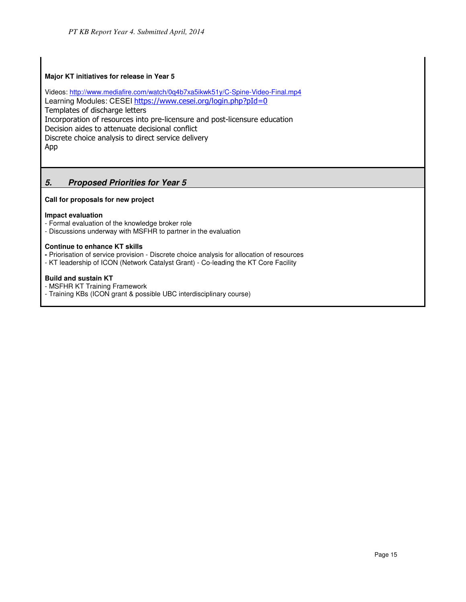#### **Major KT initiatives for release in Year 5**

Videos: http://www.mediafire.com/watch/0q4b7xa5ikwk51y/C-Spine-Video-Final.mp4 Learning Modules: CESEI https://www.cesei.org/login.php?pId=0 Templates of discharge letters Incorporation of resources into pre-licensure and post-licensure education Decision aides to attenuate decisional conflict Discrete choice analysis to direct service delivery App

# **5. Proposed Priorities for Year 5**

**Call for proposals for new project** 

#### **Impact evaluation**

- Formal evaluation of the knowledge broker role
- Discussions underway with MSFHR to partner in the evaluation

#### **Continue to enhance KT skills**

- Priorisation of service provision Discrete choice analysis for allocation of resources
- KT leadership of ICON (Network Catalyst Grant) Co-leading the KT Core Facility

#### **Build and sustain KT**

- MSFHR KT Training Framework
- Training KBs (ICON grant & possible UBC interdisciplinary course)